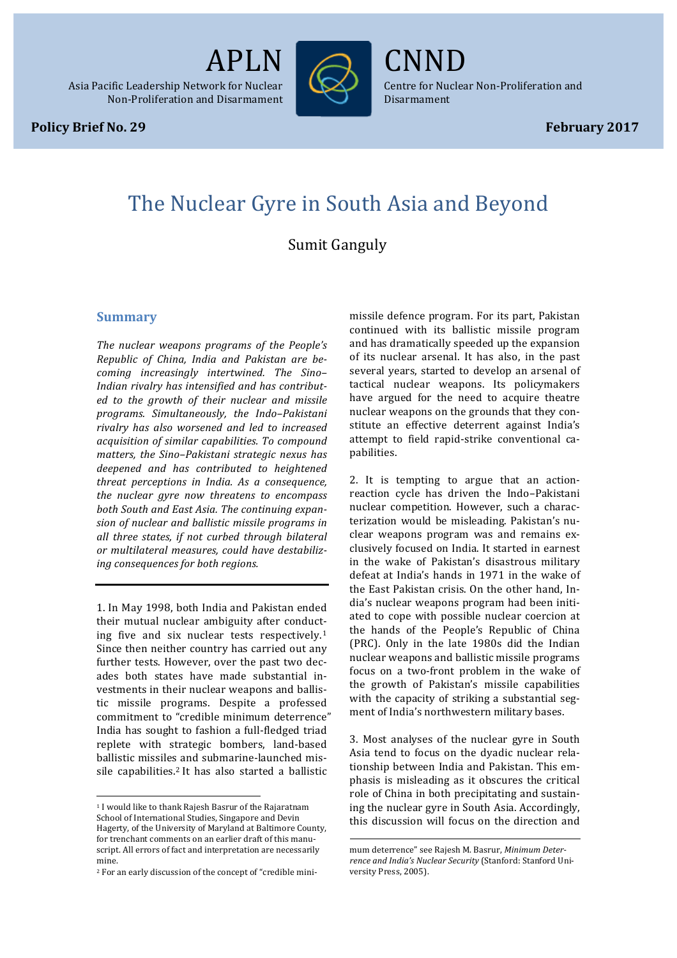# APLN

Asia Pacific Leadership Network for Nuclear Non-Proliferation and Disarmament

**Policy Brief No. 29**



Centre for Nuclear Non-Proliferation and Disarmament

## The Nuclear Gyre in South Asia and Beyond

### Sumit Ganguly

#### **Summary**

The nuclear weapons programs of the People's Republic of China, India and Pakistan are be*coming increasingly intertwined. The Sino–* Indian rivalry has intensified and has contribut*ed* to the growth of their nuclear and missile *programs. Simultaneously, the Indo–Pakistani rivalry has also worsened and led to increased acquisition of similar capabilities. To compound matters, the Sino-Pakistani strategic nexus has deepened and has contributed to heightened threat perceptions in India. As a consequence, the nuclear avre now threatens to encompass* both South and East Asia. The continuing expansion of nuclear and ballistic missile programs in *all three states, if not curbed through bilateral or multilateral measures, could have destabilizing consequences for both regions.* 

1. In May 1998, both India and Pakistan ended their mutual nuclear ambiguity after conducting five and six nuclear tests respectively.<sup>1</sup> Since then neither country has carried out any further tests. However, over the past two decades both states have made substantial investments in their nuclear weapons and ballistic missile programs. Despite a professed commitment to "credible minimum deterrence" India has sought to fashion a full-fledged triad replete with strategic bombers, land-based ballistic missiles and submarine-launched missile capabilities.<sup>2</sup> It has also started a ballistic

 

missile defence program. For its part, Pakistan continued with its ballistic missile program and has dramatically speeded up the expansion of its nuclear arsenal. It has also, in the past several years, started to develop an arsenal of tactical nuclear weapons. Its policymakers have argued for the need to acquire theatre nuclear weapons on the grounds that they constitute an effective deterrent against India's attempt to field rapid-strike conventional capabilities. 

2. It is tempting to argue that an actionreaction cycle has driven the Indo-Pakistani nuclear competition. However, such a characterization would be misleading. Pakistan's nuclear weapons program was and remains exclusively focused on India. It started in earnest in the wake of Pakistan's disastrous military defeat at India's hands in 1971 in the wake of the East Pakistan crisis. On the other hand, India's nuclear weapons program had been initiated to cope with possible nuclear coercion at the hands of the People's Republic of China (PRC). Only in the late 1980s did the Indian nuclear weapons and ballistic missile programs focus on a two-front problem in the wake of the growth of Pakistan's missile capabilities with the capacity of striking a substantial segment of India's northwestern military bases.

3. Most analyses of the nuclear gyre in South Asia tend to focus on the dyadic nuclear relationship between India and Pakistan. This emphasis is misleading as it obscures the critical role of China in both precipitating and sustaining the nuclear gyre in South Asia. Accordingly, this discussion will focus on the direction and

<u> 1989 - Johann Stein, marwolaethau a bhann an t-Amhain Aonaichte ann an t-Amhain Aonaichte ann an t-Amhain Aon</u>

<sup>&</sup>lt;sup>1</sup> I would like to thank Rajesh Basrur of the Rajaratnam School of International Studies, Singapore and Devin Hagerty, of the University of Maryland at Baltimore County, for trenchant comments on an earlier draft of this manuscript. All errors of fact and interpretation are necessarily mine.

<sup>&</sup>lt;sup>2</sup> For an early discussion of the concept of "credible mini-

mum deterrence" see Rajesh M. Basrur, *Minimum Deterrence and India's Nuclear Security* (Stanford: Stanford University Press, 2005).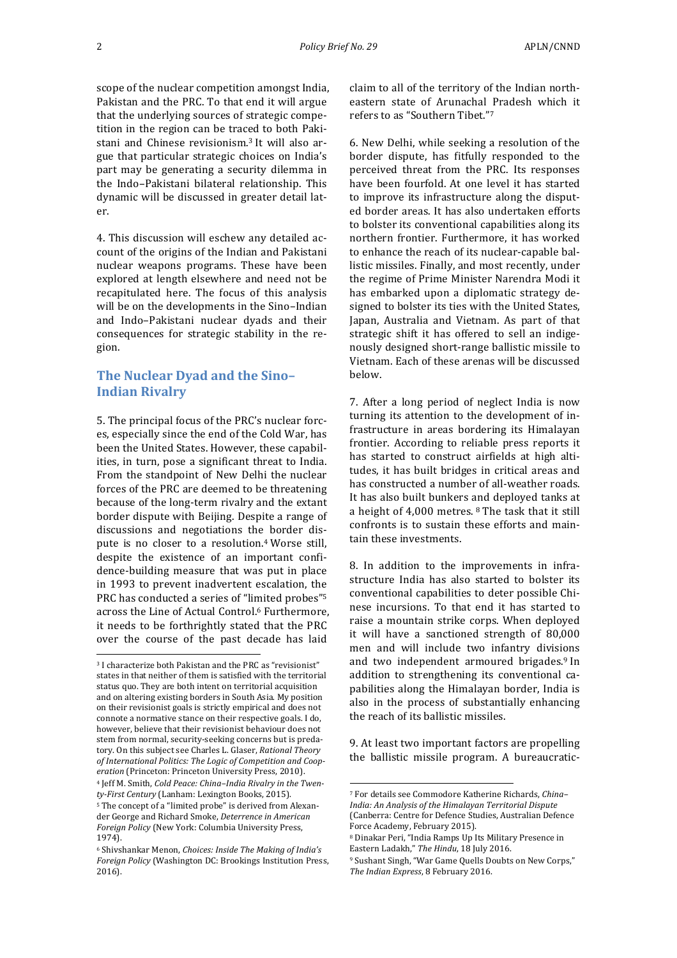scope of the nuclear competition amongst India, Pakistan and the PRC. To that end it will argue that the underlying sources of strategic competition in the region can be traced to both Pakistani and Chinese revisionism.<sup>3</sup> It will also argue that particular strategic choices on India's part may be generating a security dilemma in the Indo-Pakistani bilateral relationship. This dynamic will be discussed in greater detail later.

4. This discussion will eschew any detailed account of the origins of the Indian and Pakistani nuclear weapons programs. These have been explored at length elsewhere and need not be recapitulated here. The focus of this analysis will be on the developments in the Sino-Indian and Indo-Pakistani nuclear dyads and their consequences for strategic stability in the region.

#### **The Nuclear Dyad and the Sino-Indian Rivalry**

5. The principal focus of the PRC's nuclear forces, especially since the end of the Cold War, has been the United States. However, these capabilities, in turn, pose a significant threat to India. From the standpoint of New Delhi the nuclear forces of the PRC are deemed to be threatening because of the long-term rivalry and the extant border dispute with Beijing. Despite a range of discussions and negotiations the border dispute is no closer to a resolution.<sup>4</sup> Worse still, despite the existence of an important confidence-building measure that was put in place in 1993 to prevent inadvertent escalation, the PRC has conducted a series of "limited probes"<sup>5</sup> across the Line of Actual Control.<sup>6</sup> Furthermore, it needs to be forthrightly stated that the PRC over the course of the past decade has laid

 

claim to all of the territory of the Indian northeastern state of Arunachal Pradesh which it refers to as "Southern Tibet."7

6. New Delhi, while seeking a resolution of the border dispute, has fitfully responded to the perceived threat from the PRC. Its responses have been fourfold. At one level it has started to improve its infrastructure along the disputed border areas. It has also undertaken efforts to bolster its conventional capabilities along its northern frontier. Furthermore, it has worked to enhance the reach of its nuclear-capable ballistic missiles. Finally, and most recently, under the regime of Prime Minister Narendra Modi it has embarked upon a diplomatic strategy designed to bolster its ties with the United States, Japan, Australia and Vietnam. As part of that strategic shift it has offered to sell an indigenously designed short-range ballistic missile to Vietnam. Each of these arenas will be discussed below.

7. After a long period of neglect India is now turning its attention to the development of infrastructure in areas bordering its Himalayan frontier. According to reliable press reports it has started to construct airfields at high altitudes, it has built bridges in critical areas and has constructed a number of all-weather roads. It has also built bunkers and deployed tanks at a height of 4,000 metres.  $8$  The task that it still confronts is to sustain these efforts and maintain these investments.

8. In addition to the improvements in infrastructure India has also started to bolster its conventional capabilities to deter possible Chinese incursions. To that end it has started to raise a mountain strike corps. When deployed it will have a sanctioned strength of 80,000 men and will include two infantry divisions and two independent armoured brigades.<sup>9</sup> In addition to strengthening its conventional capabilities along the Himalayan border, India is also in the process of substantially enhancing the reach of its ballistic missiles.

9. At least two important factors are propelling the ballistic missile program. A bureaucratic-

<sup>&</sup>lt;sup>3</sup> I characterize both Pakistan and the PRC as "revisionist" states in that neither of them is satisfied with the territorial status quo. They are both intent on territorial acquisition and on altering existing borders in South Asia. My position on their revisionist goals is strictly empirical and does not connote a normative stance on their respective goals. I do, however, believe that their revisionist behaviour does not stem from normal, security-seeking concerns but is predatory. On this subject see Charles L. Glaser, *Rational Theory* of International Politics: The Logic of Competition and Coop*eration* (Princeton: Princeton University Press, 2010). <sup>4</sup> Jeff M. Smith, *Cold Peace: China-India Rivalry in the Twen-*

ty-First Century (Lanham: Lexington Books, 2015). <sup>5</sup> The concept of a "limited probe" is derived from Alexan-

der George and Richard Smoke, *Deterrence in American Foreign Policy* (New York: Columbia University Press, 1974).

<sup>6</sup> Shivshankar Menon, *Choices: Inside The Making of India's Foreign Policy* (Washington DC: Brookings Institution Press, 2016).

<sup>7</sup> For details see Commodore Katherine Richards, *China– India: An Analysis of the Himalayan Territorial Dispute* (Canberra: Centre for Defence Studies, Australian Defence Force Academy, February 2015).

<sup>8</sup> Dinakar Peri, "India Ramps Up Its Military Presence in Eastern Ladakh," The Hindu, 18 July 2016.

<sup>&</sup>lt;sup>9</sup> Sushant Singh, "War Game Quells Doubts on New Corps," The Indian Express, 8 February 2016.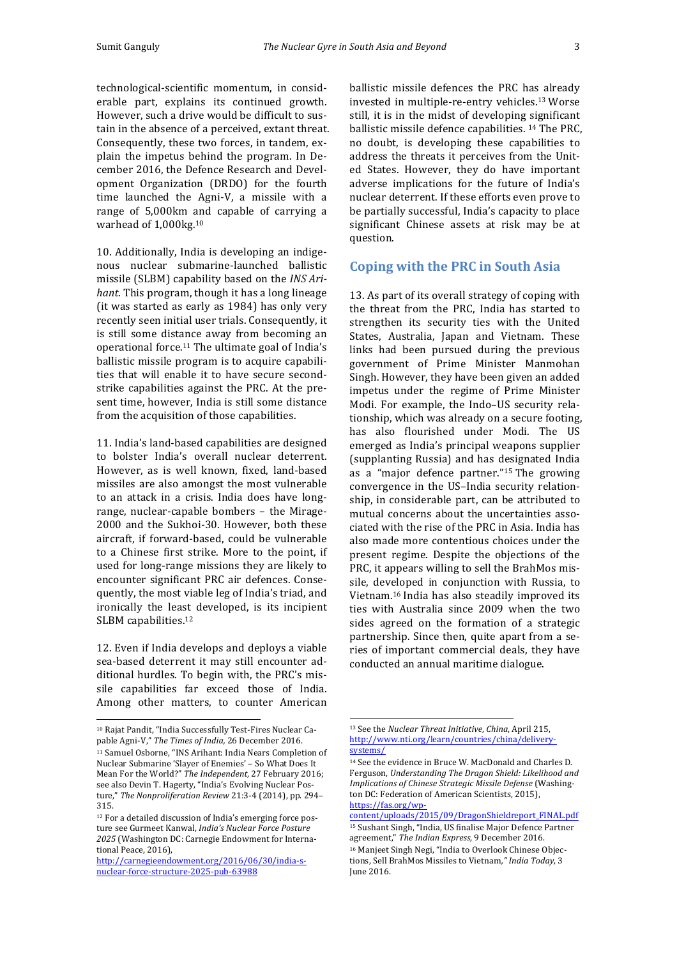technological-scientific momentum, in considerable part, explains its continued growth. However, such a drive would be difficult to sustain in the absence of a perceived, extant threat. Consequently, these two forces, in tandem, explain the impetus behind the program. In December 2016, the Defence Research and Development Organization (DRDO) for the fourth time launched the Agni-V, a missile with a range of 5,000km and capable of carrying a warhead of 1,000kg.<sup>10</sup>

10. Additionally, India is developing an indigenous nuclear submarine-launched ballistic missile (SLBM) capability based on the *INS Arihant*. This program, though it has a long lineage (it was started as early as  $1984$ ) has only very recently seen initial user trials. Consequently, it is still some distance away from becoming an operational force.<sup>11</sup> The ultimate goal of India's ballistic missile program is to acquire capabilities that will enable it to have secure secondstrike capabilities against the PRC. At the present time, however, India is still some distance from the acquisition of those capabilities.

11. India's land-based capabilities are designed to bolster India's overall nuclear deterrent. However, as is well known, fixed, land-based missiles are also amongst the most vulnerable to an attack in a crisis. India does have longrange, nuclear-capable bombers - the Mirage-2000 and the Sukhoi-30. However, both these aircraft, if forward-based, could be vulnerable to a Chinese first strike. More to the point, if used for long-range missions they are likely to encounter significant PRC air defences. Consequently, the most viable leg of India's triad, and ironically the least developed, is its incipient SLBM capabilities.<sup>12</sup>

12. Even if India develops and deploys a viable sea-based deterrent it may still encounter additional hurdles. To begin with, the PRC's missile capabilities far exceed those of India. Among other matters, to counter American

 

ballistic missile defences the PRC has already invested in multiple-re-entry vehicles.<sup>13</sup> Worse still, it is in the midst of developing significant ballistic missile defence capabilities. <sup>14</sup> The PRC, no doubt, is developing these capabilities to address the threats it perceives from the United States. However, they do have important adverse implications for the future of India's nuclear deterrent. If these efforts even prove to be partially successful, India's capacity to place significant Chinese assets at risk may be at question. 

#### **Coping with the PRC in South Asia**

13. As part of its overall strategy of coping with the threat from the PRC, India has started to strengthen its security ties with the United States, Australia, Japan and Vietnam. These links had been pursued during the previous government of Prime Minister Manmohan Singh. However, they have been given an added impetus under the regime of Prime Minister Modi. For example, the Indo-US security relationship, which was already on a secure footing, has also flourished under Modi. The US emerged as India's principal weapons supplier (supplanting Russia) and has designated India as a "major defence partner."<sup>15</sup> The growing convergence in the US-India security relationship, in considerable part, can be attributed to mutual concerns about the uncertainties associated with the rise of the PRC in Asia. India has also made more contentious choices under the present regime. Despite the objections of the PRC, it appears willing to sell the BrahMos missile, developed in conjunction with Russia, to Vietnam.<sup>16</sup> India has also steadily improved its ties with Australia since 2009 when the two sides agreed on the formation of a strategic partnership. Since then, quite apart from a series of important commercial deals, they have conducted an annual maritime dialogue.

<sup>&</sup>lt;sup>10</sup> Rajat Pandit, "India Successfully Test-Fires Nuclear Capable Agni-V," The Times of India, 26 December 2016. <sup>11</sup> Samuel Osborne, "INS Arihant: India Nears Completion of Nuclear Submarine 'Slayer of Enemies' - So What Does It Mean For the World?" The Independent, 27 February 2016;

see also Devin T. Hagerty, "India's Evolving Nuclear Posture," The Nonproliferation Review 21:3-4 (2014), pp. 294-315.

<sup>&</sup>lt;sup>12</sup> For a detailed discussion of India's emerging force posture see Gurmeet Kanwal, *India's Nuclear Force Posture* 2025 (Washington DC: Carnegie Endowment for International Peace, 2016).

http://carnegieendowment.org/2016/06/30/india-snuclear-force-structure-2025-pub-63988

<sup>&</sup>lt;sup>13</sup> See the *Nuclear Threat Initiative, China*, April 215, http://www.nti.org/learn/countries/china/deliverysystems/

<sup>&</sup>lt;sup>14</sup> See the evidence in Bruce W. MacDonald and Charles D. Ferguson, Understanding The Dragon Shield: Likelihood and *Implications of Chinese Strategic Missile Defense* (Washington DC: Federation of American Scientists, 2015), https://fas.org/wp-

content/uploads/2015/09/DragonShieldreport\_FINAL.pdf <sup>15</sup> Sushant Singh, "India, US finalise Major Defence Partner agreement," The Indian Express, 9 December 2016. <sup>16</sup> Manjeet Singh Negi, "India to Overlook Chinese Objections, Sell BrahMos Missiles to Vietnam*," India Today*, 3 **June 2016.**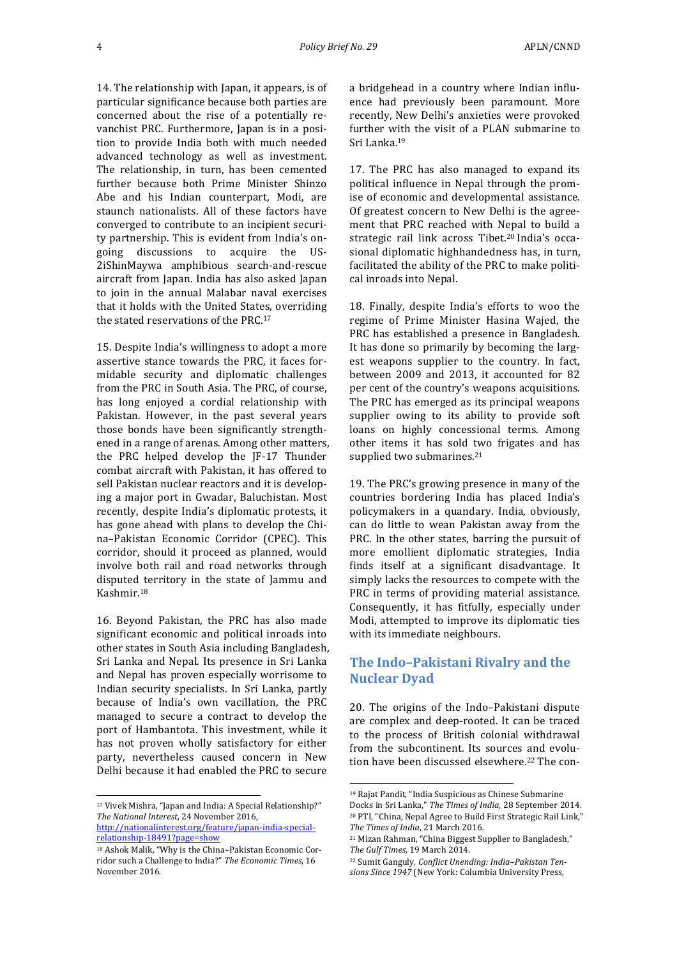14. The relationship with Japan, it appears, is of particular significance because both parties are concerned about the rise of a potentially revanchist PRC. Furthermore, Japan is in a position to provide India both with much needed advanced technology as well as investment. The relationship, in turn, has been cemented further because both Prime Minister Shinzo Abe and his Indian counterpart, Modi, are staunch nationalists. All of these factors have converged to contribute to an incipient security partnership. This is evident from India's ongoing discussions to acquire the US-2iShinMaywa amphibious search-and-rescue aircraft from Japan. India has also asked Japan to join in the annual Malabar naval exercises that it holds with the United States, overriding the stated reservations of the PRC.<sup>17</sup>

15. Despite India's willingness to adopt a more assertive stance towards the PRC, it faces formidable security and diplomatic challenges from the PRC in South Asia. The PRC, of course, has long enjoyed a cordial relationship with Pakistan. However, in the past several years those bonds have been significantly strengthened in a range of arenas. Among other matters, the PRC helped develop the JF-17 Thunder combat aircraft with Pakistan, it has offered to sell Pakistan nuclear reactors and it is developing a major port in Gwadar, Baluchistan. Most recently, despite India's diplomatic protests, it has gone ahead with plans to develop the China–Pakistan Economic Corridor (CPEC). This corridor, should it proceed as planned, would involve both rail and road networks through disputed territory in the state of Jammu and Kashmir.18

16. Beyond Pakistan, the PRC has also made significant economic and political inroads into other states in South Asia including Bangladesh, Sri Lanka and Nepal. Its presence in Sri Lanka and Nepal has proven especially worrisome to Indian security specialists. In Sri Lanka, partly because of India's own vacillation, the PRC managed to secure a contract to develop the port of Hambantota. This investment, while it has not proven wholly satisfactory for either party, nevertheless caused concern in New Delhi because it had enabled the PRC to secure

 

a bridgehead in a country where Indian influence had previously been paramount. More recently, New Delhi's anxieties were provoked further with the visit of a PLAN submarine to Sri Lanka.<sup>19</sup>

17. The PRC has also managed to expand its political influence in Nepal through the promise of economic and developmental assistance. Of greatest concern to New Delhi is the agreement that PRC reached with Nepal to build a strategic rail link across Tibet.<sup>20</sup> India's occasional diplomatic highhandedness has, in turn, facilitated the ability of the PRC to make political inroads into Nepal.

18. Finally, despite India's efforts to woo the regime of Prime Minister Hasina Wajed, the PRC has established a presence in Bangladesh. It has done so primarily by becoming the largest weapons supplier to the country. In fact, between 2009 and 2013, it accounted for 82 per cent of the country's weapons acquisitions. The PRC has emerged as its principal weapons supplier owing to its ability to provide soft loans on highly concessional terms. Among other items it has sold two frigates and has supplied two submarines.<sup>21</sup>

19. The PRC's growing presence in many of the countries bordering India has placed India's policymakers in a quandary. India, obviously, can do little to wean Pakistan away from the PRC. In the other states, barring the pursuit of more emollient diplomatic strategies, India finds itself at a significant disadvantage. It simply lacks the resources to compete with the PRC in terms of providing material assistance. Consequently, it has fitfully, especially under Modi, attempted to improve its diplomatic ties with its immediate neighbours.

#### **The Indo-Pakistani Rivalry and the Nuclear Dyad**

20. The origins of the Indo-Pakistani dispute are complex and deep-rooted. It can be traced to the process of British colonial withdrawal from the subcontinent. Its sources and evolution have been discussed elsewhere.<sup>22</sup> The con-

<sup>&</sup>lt;sup>17</sup> Vivek Mishra, "Japan and India: A Special Relationship?" The National Interest, 24 November 2016, http://nationalinterest.org/feature/japan-india-specialrelationship-18491?page=show

<sup>&</sup>lt;sup>18</sup> Ashok Malik, "Why is the China-Pakistan Economic Corridor such a Challenge to India?" The Economic Times, 16 November 2016. 

 $^{19}$  Rajat Pandit, "India Suspicious as Chinese Submarine Docks in Sri Lanka," *The Times of India*, 28 September 2014. <sup>20</sup> PTI, "China, Nepal Agree to Build First Strategic Rail Link," The Times of India, 21 March 2016.

<sup>&</sup>lt;sup>21</sup> Mizan Rahman, "China Biggest Supplier to Bangladesh," *The Gulf Times*, 19 March 2014. 

<sup>&</sup>lt;sup>22</sup> Sumit Ganguly, *Conflict Unending: India-Pakistan Ten*sions Since 1947 (New York: Columbia University Press,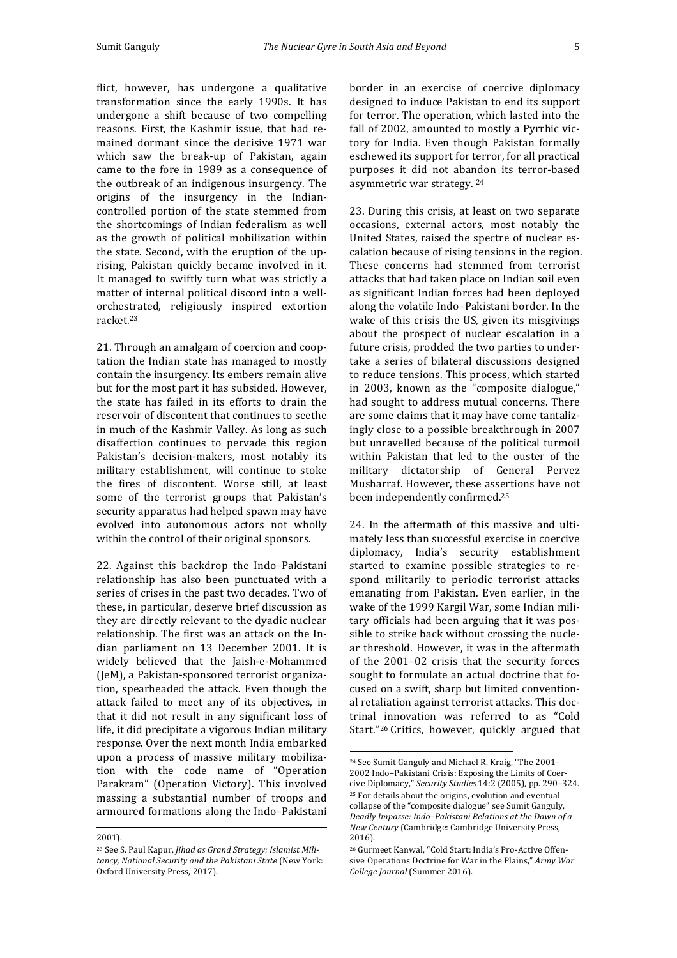flict, however, has undergone a qualitative transformation since the early 1990s. It has undergone a shift because of two compelling reasons. First, the Kashmir issue, that had remained dormant since the decisive 1971 war which saw the break-up of Pakistan, again came to the fore in 1989 as a consequence of the outbreak of an indigenous insurgency. The origins of the insurgency in the Indiancontrolled portion of the state stemmed from the shortcomings of Indian federalism as well as the growth of political mobilization within the state. Second, with the eruption of the uprising, Pakistan quickly became involved in it. It managed to swiftly turn what was strictly a matter of internal political discord into a wellorchestrated, religiously inspired extortion racket.23

21. Through an amalgam of coercion and cooptation the Indian state has managed to mostly contain the insurgency. Its embers remain alive but for the most part it has subsided. However, the state has failed in its efforts to drain the reservoir of discontent that continues to seethe in much of the Kashmir Valley. As long as such disaffection continues to pervade this region Pakistan's decision-makers, most notably its military establishment, will continue to stoke the fires of discontent. Worse still, at least some of the terrorist groups that Pakistan's security apparatus had helped spawn may have evolved into autonomous actors not wholly within the control of their original sponsors.

22. Against this backdrop the Indo-Pakistani relationship has also been punctuated with a series of crises in the past two decades. Two of these, in particular, deserve brief discussion as they are directly relevant to the dyadic nuclear relationship. The first was an attack on the Indian parliament on 13 December 2001. It is widely believed that the Jaish-e-Mohammed (JeM), a Pakistan-sponsored terrorist organization, spearheaded the attack. Even though the attack failed to meet any of its objectives, in that it did not result in any significant loss of life, it did precipitate a vigorous Indian military response. Over the next month India embarked upon a process of massive military mobilization with the code name of "Operation Parakram" (Operation Victory). This involved massing a substantial number of troops and armoured formations along the Indo-Pakistani

 

border in an exercise of coercive diplomacy designed to induce Pakistan to end its support for terror. The operation, which lasted into the fall of 2002, amounted to mostly a Pyrrhic victory for India. Even though Pakistan formally eschewed its support for terror, for all practical purposes it did not abandon its terror-based asymmetric war strategy. <sup>24</sup>

23. During this crisis, at least on two separate occasions, external actors, most notably the United States, raised the spectre of nuclear escalation because of rising tensions in the region. These concerns had stemmed from terrorist attacks that had taken place on Indian soil even as significant Indian forces had been deployed along the volatile Indo-Pakistani border. In the wake of this crisis the US, given its misgivings about the prospect of nuclear escalation in a future crisis, prodded the two parties to undertake a series of bilateral discussions designed to reduce tensions. This process, which started in 2003, known as the "composite dialogue," had sought to address mutual concerns. There are some claims that it may have come tantalizingly close to a possible breakthrough in 2007 but unravelled because of the political turmoil within Pakistan that led to the ouster of the military dictatorship of General Pervez Musharraf. However, these assertions have not been independently confirmed.<sup>25</sup>

24. In the aftermath of this massive and ultimately less than successful exercise in coercive diplomacy, India's security establishment started to examine possible strategies to respond militarily to periodic terrorist attacks emanating from Pakistan. Even earlier, in the wake of the 1999 Kargil War, some Indian military officials had been arguing that it was possible to strike back without crossing the nuclear threshold. However, it was in the aftermath of the 2001-02 crisis that the security forces sought to formulate an actual doctrine that focused on a swift, sharp but limited conventional retaliation against terrorist attacks. This doctrinal innovation was referred to as "Cold Start."<sup>26</sup> Critics, however, quickly argued that

<sup>2001).</sup>

<sup>&</sup>lt;sup>23</sup> See S. Paul Kapur, *Jihad as Grand Strategy: Islamist Militancy, National Security and the Pakistani State* (New York: Oxford University Press, 2017).

<sup>&</sup>lt;sup>24</sup> See Sumit Ganguly and Michael R. Kraig, "The 2001-2002 Indo-Pakistani Crisis: Exposing the Limits of Coercive Diplomacy," Security Studies 14:2 (2005), pp. 290-324. <sup>25</sup> For details about the origins, evolution and eventual collapse of the "composite dialogue" see Sumit Ganguly, *Deadly Impasse: Indo-Pakistani Relations at the Dawn of a New Century* (Cambridge: Cambridge University Press, 2016). 

<sup>&</sup>lt;sup>26</sup> Gurmeet Kanwal, "Cold Start: India's Pro-Active Offensive Operations Doctrine for War in the Plains," Army War *College Journal* (Summer 2016).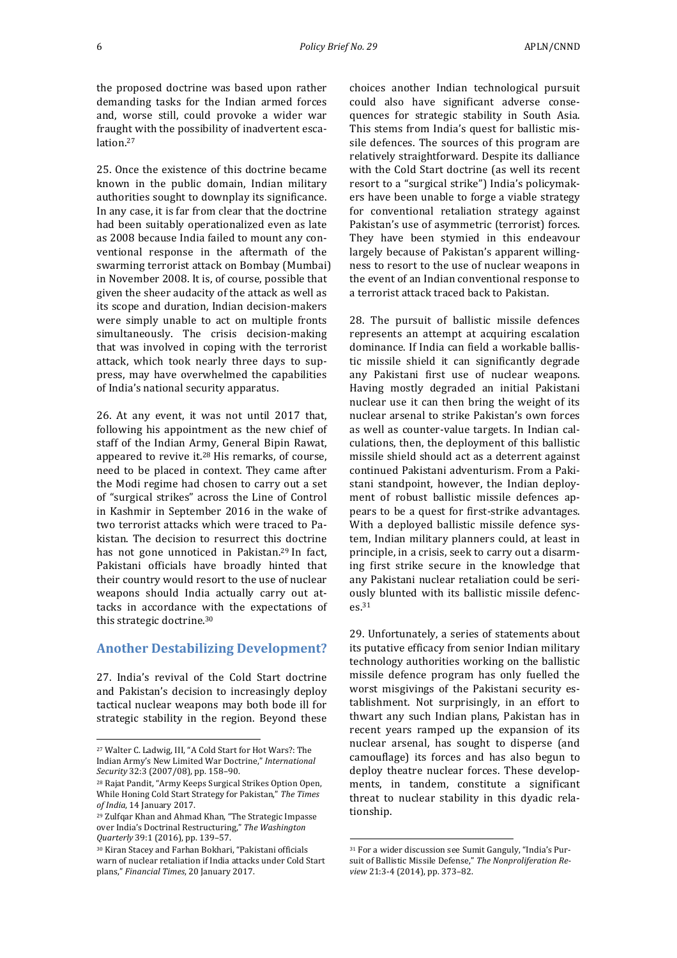the proposed doctrine was based upon rather demanding tasks for the Indian armed forces and, worse still, could provoke a wider war fraught with the possibility of inadvertent escalation.27

25. Once the existence of this doctrine became known in the public domain, Indian military authorities sought to downplay its significance. In any case, it is far from clear that the doctrine had been suitably operationalized even as late as 2008 because India failed to mount any conventional response in the aftermath of the swarming terrorist attack on Bombay (Mumbai) in November 2008. It is, of course, possible that given the sheer audacity of the attack as well as its scope and duration, Indian decision-makers were simply unable to act on multiple fronts simultaneously. The crisis decision-making that was involved in coping with the terrorist attack, which took nearly three days to suppress, may have overwhelmed the capabilities of India's national security apparatus.

26. At any event, it was not until 2017 that, following his appointment as the new chief of staff of the Indian Army, General Bipin Rawat, appeared to revive it. $28$  His remarks, of course, need to be placed in context. They came after the Modi regime had chosen to carry out a set of "surgical strikes" across the Line of Control in Kashmir in September 2016 in the wake of two terrorist attacks which were traced to Pakistan. The decision to resurrect this doctrine has not gone unnoticed in Pakistan.<sup>29</sup> In fact, Pakistani officials have broadly hinted that their country would resort to the use of nuclear weapons should India actually carry out attacks in accordance with the expectations of this strategic doctrine.<sup>30</sup>

#### **Another Destabilizing Development?**

27. India's revival of the Cold Start doctrine and Pakistan's decision to increasingly deploy tactical nuclear weapons may both bode ill for strategic stability in the region. Beyond these

 

choices another Indian technological pursuit could also have significant adverse consequences for strategic stability in South Asia. This stems from India's quest for ballistic missile defences. The sources of this program are relatively straightforward. Despite its dalliance with the Cold Start doctrine (as well its recent resort to a "surgical strike") India's policymakers have been unable to forge a viable strategy for conventional retaliation strategy against Pakistan's use of asymmetric (terrorist) forces. They have been stymied in this endeavour largely because of Pakistan's apparent willingness to resort to the use of nuclear weapons in the event of an Indian conventional response to a terrorist attack traced back to Pakistan.

28. The pursuit of ballistic missile defences represents an attempt at acquiring escalation dominance. If India can field a workable ballistic missile shield it can significantly degrade any Pakistani first use of nuclear weapons. Having mostly degraded an initial Pakistani nuclear use it can then bring the weight of its nuclear arsenal to strike Pakistan's own forces as well as counter-value targets. In Indian calculations, then, the deployment of this ballistic missile shield should act as a deterrent against continued Pakistani adventurism. From a Pakistani standpoint, however, the Indian deployment of robust ballistic missile defences appears to be a quest for first-strike advantages. With a deployed ballistic missile defence system, Indian military planners could, at least in principle, in a crisis, seek to carry out a disarming first strike secure in the knowledge that any Pakistani nuclear retaliation could be seriously blunted with its ballistic missile defences.31

29. Unfortunately, a series of statements about its putative efficacy from senior Indian military technology authorities working on the ballistic missile defence program has only fuelled the worst misgivings of the Pakistani security establishment. Not surprisingly, in an effort to thwart any such Indian plans, Pakistan has in recent years ramped up the expansion of its nuclear arsenal, has sought to disperse (and camouflage) its forces and has also begun to deploy theatre nuclear forces. These developments, in tandem, constitute a significant threat to nuclear stability in this dyadic relationship.

<u> 1989 - Jan Samuel Barbara, margaret e</u>

<sup>&</sup>lt;sup>27</sup> Walter C. Ladwig, III, "A Cold Start for Hot Wars?: The Indian Army's New Limited War Doctrine," *International Security* 32:3 (2007/08), pp. 158–90.

<sup>&</sup>lt;sup>28</sup> Rajat Pandit, "Army Keeps Surgical Strikes Option Open, While Honing Cold Start Strategy for Pakistan," The Times *of India*, 14 January 2017. 

<sup>&</sup>lt;sup>29</sup> Zulfgar Khan and Ahmad Khan, "The Strategic Impasse over India's Doctrinal Restructuring," The Washington *Quarterly* 39:1 (2016), pp. 139–57. 

<sup>&</sup>lt;sup>30</sup> Kiran Stacey and Farhan Bokhari, "Pakistani officials warn of nuclear retaliation if India attacks under Cold Start plans," *Financial Times*, 20 January 2017. 

<sup>&</sup>lt;sup>31</sup> For a wider discussion see Sumit Ganguly, "India's Pursuit of Ballistic Missile Defense," The Nonproliferation Re*view* 21:3-4 (2014), pp. 373-82.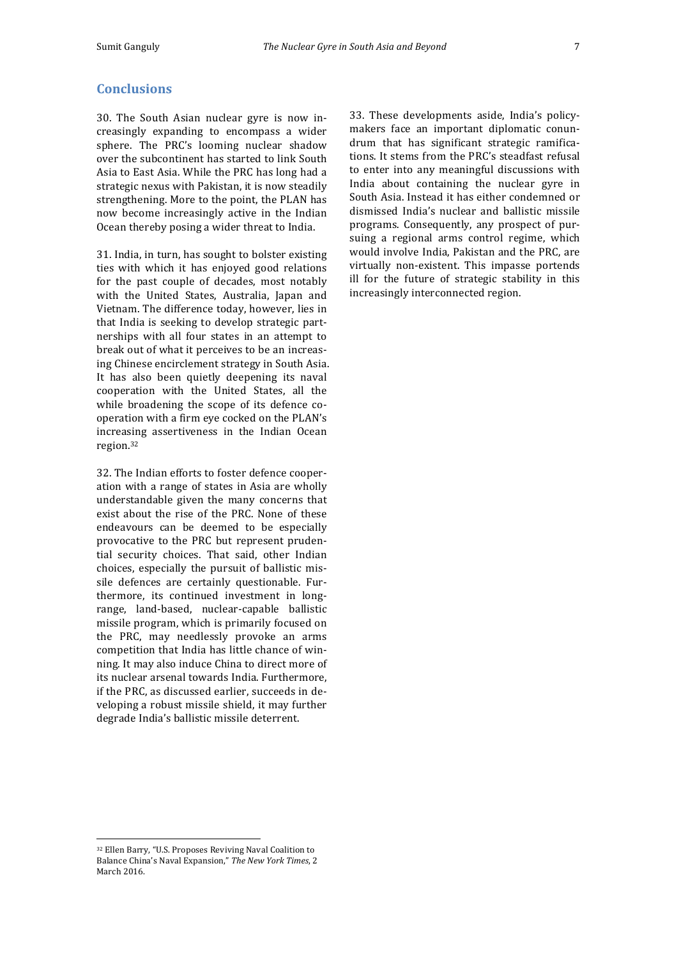#### **Conclusions**

30. The South Asian nuclear gyre is now increasingly expanding to encompass a wider sphere. The PRC's looming nuclear shadow over the subcontinent has started to link South Asia to East Asia. While the PRC has long had a strategic nexus with Pakistan, it is now steadily strengthening. More to the point, the PLAN has now become increasingly active in the Indian Ocean thereby posing a wider threat to India.

31. India, in turn, has sought to bolster existing ties with which it has enjoyed good relations for the past couple of decades, most notably with the United States, Australia, Japan and Vietnam. The difference today, however, lies in that India is seeking to develop strategic partnerships with all four states in an attempt to break out of what it perceives to be an increasing Chinese encirclement strategy in South Asia. It has also been quietly deepening its naval cooperation with the United States, all the while broadening the scope of its defence cooperation with a firm eve cocked on the PLAN's increasing assertiveness in the Indian Ocean region.32

32. The Indian efforts to foster defence cooperation with a range of states in Asia are wholly understandable given the many concerns that exist about the rise of the PRC. None of these endeavours can be deemed to be especially provocative to the PRC but represent prudential security choices. That said, other Indian choices, especially the pursuit of ballistic missile defences are certainly questionable. Furthermore, its continued investment in longrange, land-based, nuclear-capable ballistic missile program, which is primarily focused on the PRC, may needlessly provoke an arms competition that India has little chance of winning. It may also induce China to direct more of its nuclear arsenal towards India. Furthermore, if the PRC, as discussed earlier, succeeds in developing a robust missile shield, it may further degrade India's ballistic missile deterrent.

33. These developments aside, India's policymakers face an important diplomatic conundrum that has significant strategic ramifications. It stems from the PRC's steadfast refusal to enter into any meaningful discussions with India about containing the nuclear gyre in South Asia. Instead it has either condemned or dismissed India's nuclear and ballistic missile programs. Consequently, any prospect of pursuing a regional arms control regime, which would involve India, Pakistan and the PRC, are virtually non-existent. This impasse portends ill for the future of strategic stability in this increasingly interconnected region.

<u> 1989 - Johann Stein, marwolaethau a bh</u>

<sup>&</sup>lt;sup>32</sup> Ellen Barry, "U.S. Proposes Reviving Naval Coalition to Balance China's Naval Expansion," The New York Times, 2 March 2016.